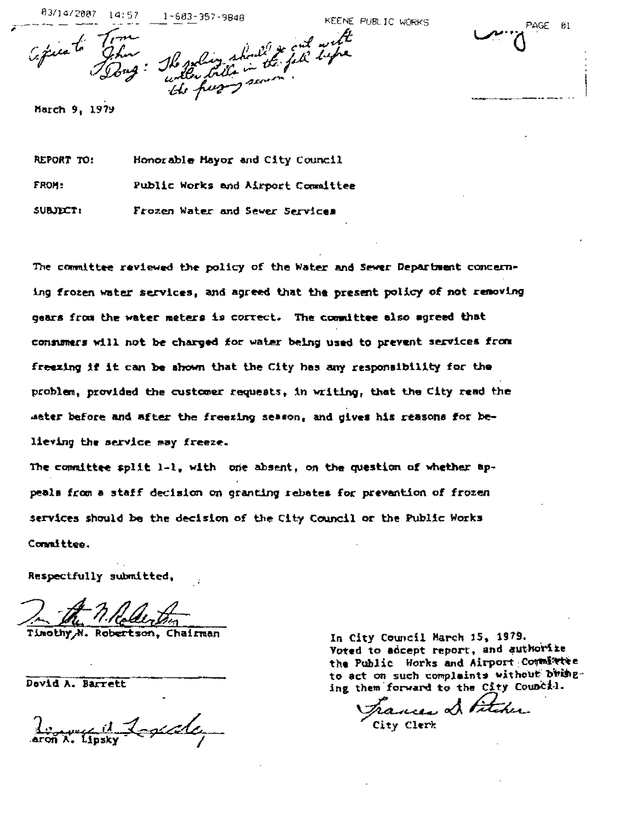83/14/2007 14:5  $1 - 603 - 357 - 9948$ 

EENE PUBLIC WORKS

March 9, 1979

REPORT TO: Honorable Mayor and City Council FROM: Public Works and Airport Committee SUBJECT: Frozen Water and Sewer Services

Cépisato John Herbert ditta in the Tipe

The committee reviewed the policy of the Water and Sewer Department concerning frozen water services, and agreed that the present policy of not removing gears from the water meters is correct. The committee also agreed that consumers will not be charged for water being used to prevent services from freezing if it can be shown that the City has any responsibility for the problem, provided the customer requests, in writing, that the City read the meter before and after the freezing season, and gives his reasons for believing the service may freeze.

The committee split 1-1, with one absent, on the question of whether appeals from a staff decision on granting rebates for prevantion of frozen services should be the decision of the City Council or the Public Works Connittee.

Respectfully submitted,

Robertson, Chairman

Devid A. Barrett

Reserve it Logenda

In City Council March 15, 1979. Voted to adcept report, and authorize the Public Horks and Airport Committie to act on such complaints without bringing them forward to the City Council.

Trances & Pitcher